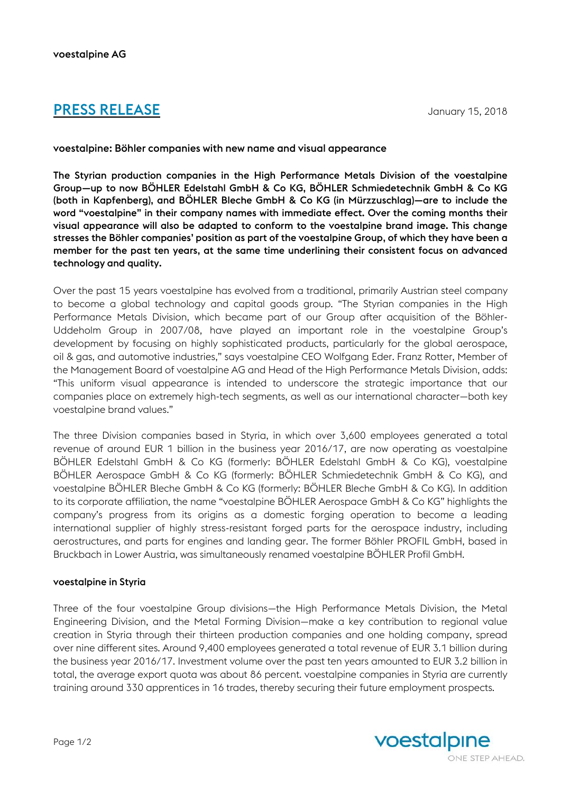# **PRESS RELEASE** January 15, 2018

## voestalpine: Böhler companies with new name and visual appearance

The Styrian production companies in the High Performance Metals Division of the voestalpine Group—up to now BÖHLER Edelstahl GmbH & Co KG, BÖHLER Schmiedetechnik GmbH & Co KG (both in Kapfenberg), and BÖHLER Bleche GmbH & Co KG (in Mürzzuschlag)—are to include the word "voestalpine" in their company names with immediate effect. Over the coming months their visual appearance will also be adapted to conform to the voestalpine brand image. This change stresses the Böhler companies' position as part of the voestalpine Group, of which they have been a member for the past ten years, at the same time underlining their consistent focus on advanced technology and quality.

Over the past 15 years voestalpine has evolved from a traditional, primarily Austrian steel company to become a global technology and capital goods group. "The Styrian companies in the High Performance Metals Division, which became part of our Group after acquisition of the Böhler-Uddeholm Group in 2007/08, have played an important role in the voestalpine Group's development by focusing on highly sophisticated products, particularly for the global aerospace, oil & gas, and automotive industries," says voestalpine CEO Wolfgang Eder. Franz Rotter, Member of the Management Board of voestalpine AG and Head of the High Performance Metals Division, adds: "This uniform visual appearance is intended to underscore the strategic importance that our companies place on extremely high-tech segments, as well as our international character—both key voestalpine brand values."

The three Division companies based in Styria, in which over 3,600 employees generated a total revenue of around EUR 1 billion in the business year 2016/17, are now operating as voestalpine BÖHLER Edelstahl GmbH & Co KG (formerly: BÖHLER Edelstahl GmbH & Co KG), voestalpine BÖHLER Aerospace GmbH & Co KG (formerly: BÖHLER Schmiedetechnik GmbH & Co KG), and voestalpine BÖHLER Bleche GmbH & Co KG (formerly: BÖHLER Bleche GmbH & Co KG). In addition to its corporate affiliation, the name "voestalpine BÖHLER Aerospace GmbH & Co KG" highlights the company's progress from its origins as a domestic forging operation to become a leading international supplier of highly stress-resistant forged parts for the aerospace industry, including aerostructures, and parts for engines and landing gear. The former Böhler PROFIL GmbH, based in Bruckbach in Lower Austria, was simultaneously renamed voestalpine BÖHLER Profil GmbH.

### voestalpine in Styria

Three of the four voestalpine Group divisions—the High Performance Metals Division, the Metal Engineering Division, and the Metal Forming Division—make a key contribution to regional value creation in Styria through their thirteen production companies and one holding company, spread over nine different sites. Around 9,400 employees generated a total revenue of EUR 3.1 billion during the business year 2016/17. Investment volume over the past ten years amounted to EUR 3.2 billion in total, the average export quota was about 86 percent. voestalpine companies in Styria are currently training around 330 apprentices in 16 trades, thereby securing their future employment prospects.